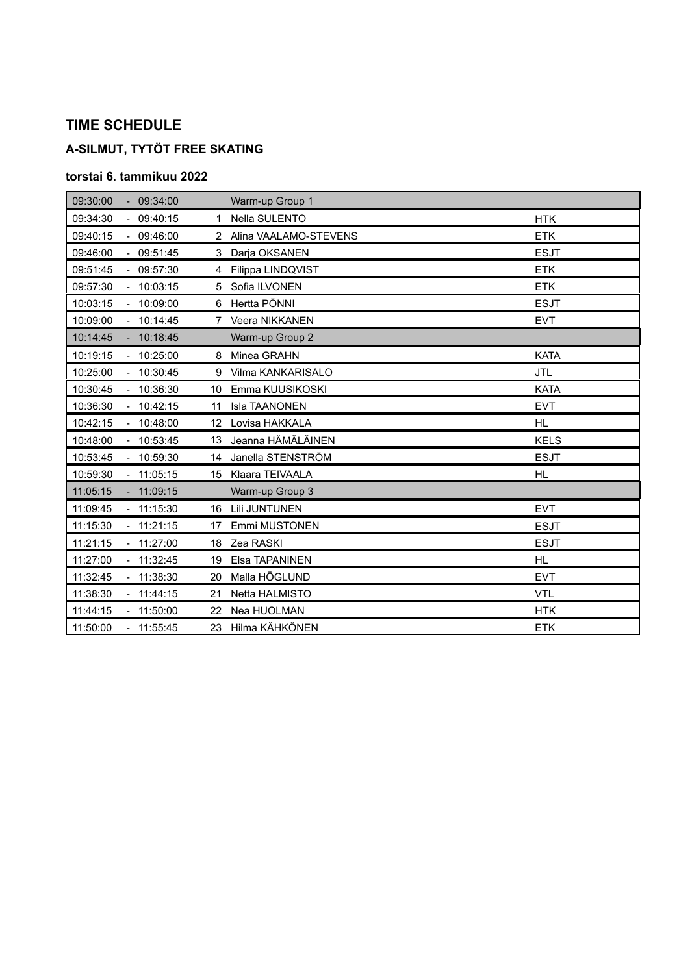# **A-SILMUT, TYTÖT FREE SKATING**

| 09:30:00 |                     | 09:34:00    |                 | Warm-up Group 1       |             |
|----------|---------------------|-------------|-----------------|-----------------------|-------------|
| 09:34:30 |                     | 09:40:15    | 1.              | Nella SULENTO         | <b>HTK</b>  |
| 09:40:15 | $\mathcal{L}^{\pm}$ | 09:46:00    | $\mathcal{P}$   | Alina VAALAMO-STEVENS | <b>ETK</b>  |
| 09:46:00 |                     | $-09:51:45$ | 3               | Darja OKSANEN         | <b>ESJT</b> |
| 09:51:45 |                     | $-09:57:30$ | 4               | Filippa LINDQVIST     | <b>ETK</b>  |
| 09:57:30 |                     | 10:03:15    | 5               | Sofia ILVONEN         | <b>ETK</b>  |
| 10:03:15 |                     | $-10:09:00$ | 6               | Hertta PÖNNI          | <b>ESJT</b> |
| 10:09:00 |                     | $-10:14:45$ | 7               | Veera NIKKANEN        | <b>EVT</b>  |
| 10:14:45 |                     | $-10:18:45$ |                 | Warm-up Group 2       |             |
| 10:19:15 |                     | $-10:25:00$ | 8               | Minea GRAHN           | <b>KATA</b> |
| 10:25:00 |                     | $-10:30:45$ | 9               | Vilma KANKARISALO     | <b>JTL</b>  |
| 10:30:45 |                     | $-10:36:30$ | 10              | Emma KUUSIKOSKI       | <b>KATA</b> |
| 10:36:30 |                     | 10:42:15    | 11              | Isla TAANONEN         | <b>EVT</b>  |
|          |                     |             |                 |                       |             |
| 10:42:15 |                     | $-10:48:00$ | 12 <sup>2</sup> | Lovisa HAKKALA        | <b>HL</b>   |
| 10:48:00 |                     | $-10:53:45$ | 13              | Jeanna HÄMÄLÄINEN     | <b>KELS</b> |
| 10:53:45 |                     | $-10:59:30$ | 14              | Janella STENSTRÖM     | <b>ESJT</b> |
| 10:59:30 |                     | $-11:05:15$ |                 | 15 Klaara TEIVAALA    | <b>HL</b>   |
| 11:05:15 |                     | $-11:09:15$ |                 | Warm-up Group 3       |             |
| 11:09:45 |                     | $-11:15:30$ | 16              | Lili JUNTUNEN         | <b>EVT</b>  |
| 11:15:30 |                     | $-11:21:15$ | 17              | Emmi MUSTONEN         | <b>ESJT</b> |
| 11:21:15 |                     | $-11:27:00$ | 18              | Zea RASKI             | <b>ESJT</b> |
| 11:27:00 |                     | 11:32:45    | 19              | Elsa TAPANINEN        | <b>HL</b>   |
| 11:32:45 |                     | $-11:38:30$ | 20              | Malla HÖGLUND         | <b>EVT</b>  |
| 11:38:30 |                     | $-11:44:15$ | 21              | Netta HALMISTO        | <b>VTL</b>  |
| 11:44:15 |                     | $-11:50:00$ | 22              | Nea HUOLMAN           | <b>HTK</b>  |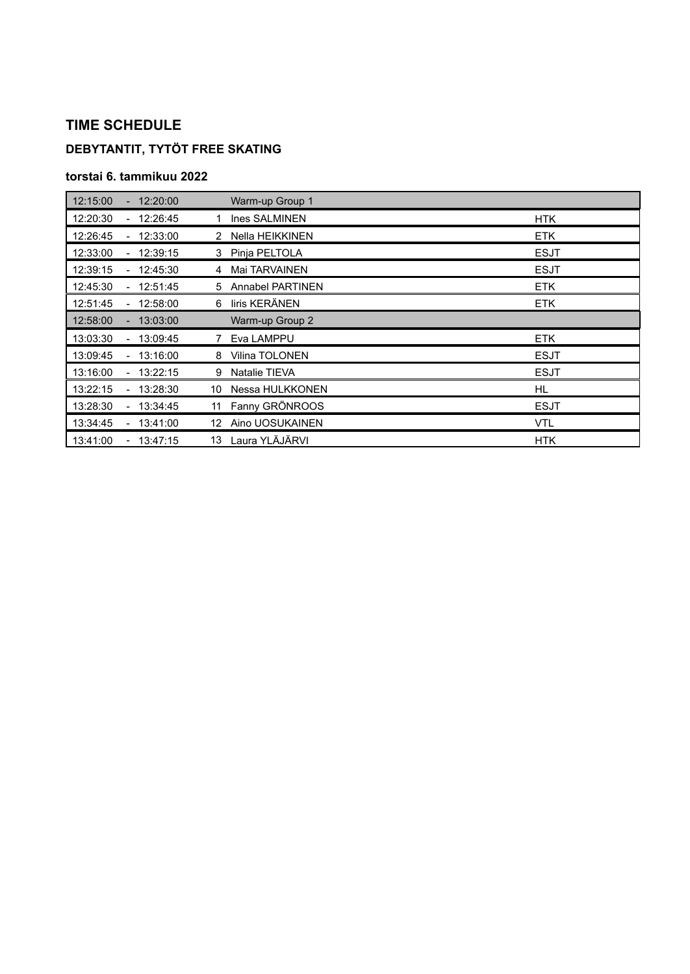## **DEBYTANTIT, TYTÖT FREE SKATING**

| 12:15:00                             | 12:20:00    | Warm-up Group 1               |             |
|--------------------------------------|-------------|-------------------------------|-------------|
| 12:20:30<br>$\blacksquare$           | 12:26:45    | Ines SALMINEN                 | <b>HTK</b>  |
| 12:26:45                             | 12:33:00    | Nella HEIKKINEN<br>2          | <b>ETK</b>  |
| 12:33:00                             | 12:39:15    | 3 Pinja PELTOLA               | <b>ESJT</b> |
| 12:39:15                             | 12:45:30    | Mai TARVAINEN<br>4            | <b>ESJT</b> |
| 12:45:30<br>$\blacksquare$           | 12:51:45    | <b>Annabel PARTINEN</b><br>5. | <b>ETK</b>  |
| 12:51:45<br>$\overline{\phantom{a}}$ | 12:58:00    | liris KERÄNEN<br>6            | <b>ETK</b>  |
| 12:58:00                             | $-13:03:00$ | Warm-up Group 2               |             |
| 13:03:30<br>$\blacksquare$           | 13:09:45    | Eva LAMPPU                    | <b>ETK</b>  |
| 13:09:45<br>$\overline{\phantom{a}}$ | 13:16:00    | Vilina TOLONEN<br>8           | <b>ESJT</b> |
| 13:16:00<br>$\overline{\phantom{a}}$ | 13:22:15    | <b>Natalie TIEVA</b><br>9     | <b>ESJT</b> |
| 13:22:15<br>$\blacksquare$           | 13:28:30    | Nessa HULKKONEN<br>10         | HL          |
| 13:28:30<br>$\blacksquare$           | 13:34:45    | Fanny GRÖNROOS<br>11          | <b>ESJT</b> |
| 13:34:45                             | $-13:41:00$ | Aino UOSUKAINEN<br>12.        | <b>VTL</b>  |
| 13:41:00                             | $-13:47:15$ | Laura YLÄJÄRVI<br>13          | <b>HTK</b>  |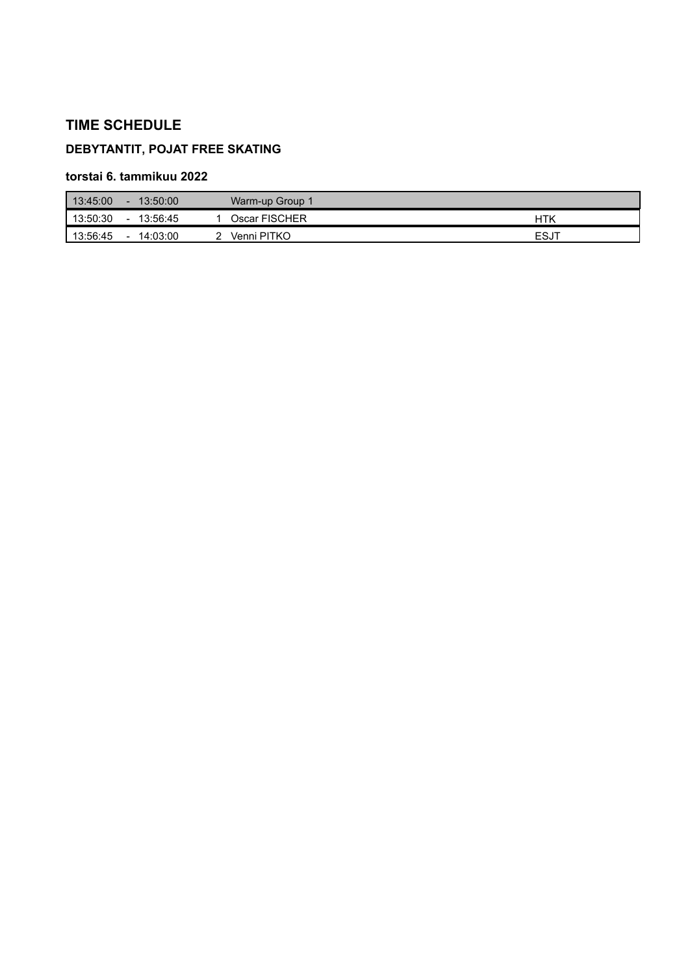### **DEBYTANTIT, POJAT FREE SKATING**

| 13:45:00<br>$-13:50:00$ | Warm-up Group 1           |      |  |
|-------------------------|---------------------------|------|--|
| 13:50:30<br>$\sim$      | Oscar FISCHER<br>13:56:45 | HTK  |  |
| 13:56:45<br>$\sim$      | 14:03:00<br>Venni PITKO   | ESJT |  |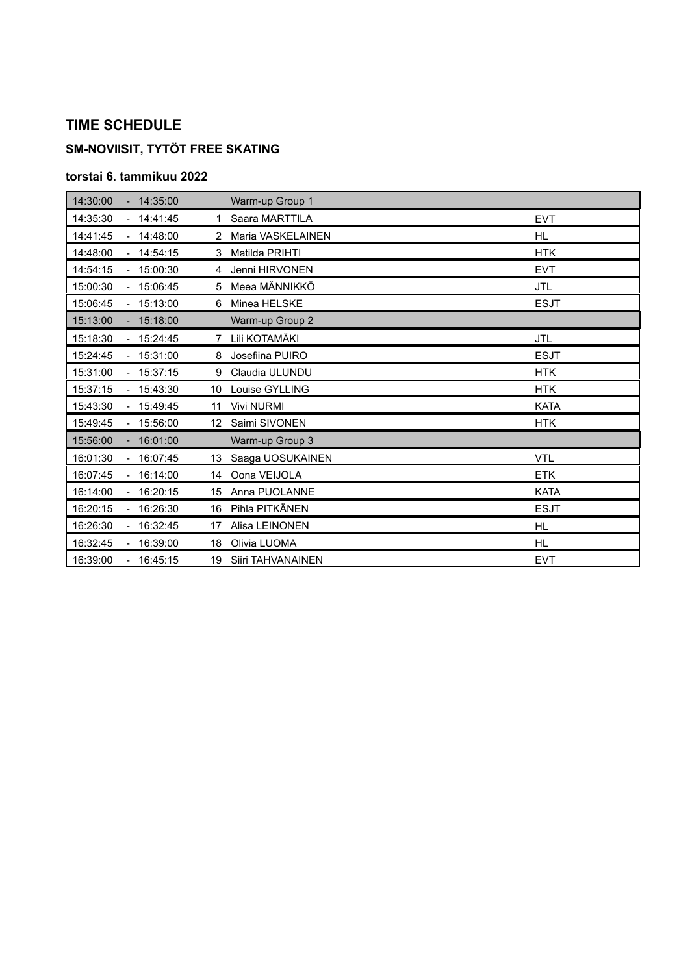### **SM-NOVIISIT, TYTÖT FREE SKATING**

| 14:30:00 |                          | $-14:35:00$ |              | Warm-up Group 1     |             |
|----------|--------------------------|-------------|--------------|---------------------|-------------|
| 14:35:30 |                          | $-14:41:45$ | $\mathbf{1}$ | Saara MARTTILA      | <b>EVT</b>  |
| 14:41:45 |                          | $-14:48:00$ |              | 2 Maria VASKELAINEN | <b>HL</b>   |
| 14:48:00 |                          | 14:54:15    | 3            | Matilda PRIHTI      | <b>HTK</b>  |
| 14:54:15 | $\mathbf{r}$             | 15:00:30    | 4            | Jenni HIRVONEN      | <b>EVT</b>  |
| 15:00:30 |                          | $-15:06:45$ | 5            | Meea MÄNNIKKÖ       | <b>JTL</b>  |
| 15:06:45 |                          | 15:13:00    | 6            | Minea HELSKE        | <b>ESJT</b> |
| 15:13:00 |                          | $-15:18:00$ |              | Warm-up Group 2     |             |
| 15:18:30 |                          | $-15:24:45$ | 7            | Lili KOTAMÄKI       | <b>JTL</b>  |
| 15:24:45 |                          | 15:31:00    | 8            | Josefiina PUIRO     | <b>ESJT</b> |
| 15:31:00 |                          | 15:37:15    | 9            | Claudia ULUNDU      | <b>HTK</b>  |
| 15:37:15 |                          | $-15:43:30$ |              | 10 Louise GYLLING   | <b>HTK</b>  |
| 15:43:30 |                          | $-15:49:45$ | 11           | Vivi NURMI          | <b>KATA</b> |
| 15:49:45 |                          | 15:56:00    | 12           | Saimi SIVONEN       | <b>HTK</b>  |
| 15:56:00 |                          | 16:01:00    |              | Warm-up Group 3     |             |
| 16:01:30 |                          | 16:07:45    | 13           | Saaga UOSUKAINEN    | <b>VTL</b>  |
| 16:07:45 |                          | 16:14:00    | 14           | Oona VEIJOLA        | <b>ETK</b>  |
| 16:14:00 | $\mathbf{r}$             | 16:20:15    | 15           | Anna PUOLANNE       | <b>KATA</b> |
| 16:20:15 |                          | 16:26:30    | 16           | Pihla PITKÄNEN      | <b>ESJT</b> |
| 16:26:30 | $\overline{\phantom{0}}$ | 16:32:45    | 17           | Alisa LEINONEN      | <b>HL</b>   |
| 16:32:45 |                          | $-16:39:00$ | 18           | Olivia LUOMA        | <b>HL</b>   |
| 16:39:00 |                          | 16:45:15    | 19           | Siiri TAHVANAINEN   | <b>EVT</b>  |